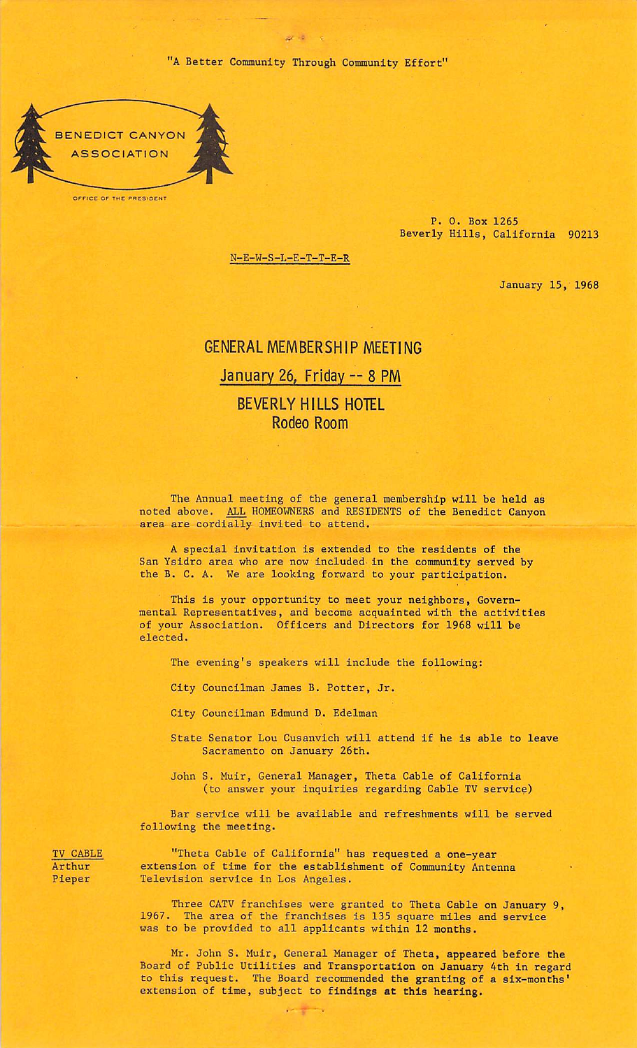"A Better Community Through Community Effort"

 $\omega$  .



OFFICE OF THE PRESIDENT

P. 0. Box 1265 Beverly Hills, California 90213

N-E-W-S-L-E-T-T-E-R

January 15, 1968

## GENERAL MEMBERSHIP MEETING January 26, Friday — 8 PM

## BEVERLY HILLS HOTEL Rodeo Room

The Annual meeting of the general membership will be held as noted above. ALL HOMEOWNERS and RESIDENTS of the Benedict Canyon area are cordially invited to attend.

A special invitation is extended to the residents of the San Ysidro area who are now included in the community served by the B. C. A. We are looking forward to your participation.

This is your opportunity to meet your neighbors, Govern mental Representatives, and become acquainted with the activities of your Association. Officers and Directors for 1968 will be elected.

The evening's speakers will include the following:

City Councilman James B. Potter, Jr.

City Councilman Edmund D. Edelman

State Senator Lou Cusanvich will attend if he is able to leave Sacramento on January 26th.

John S. Muir, General Manager, Theta Cable of California (to answer your inquiries regarding Cable TV service)

Bar service will be available and refreshments will be served following the meeting.

TV CABLE "Theta Cable of California" has requested a one-year Arthur extension of time for the establishment of Community Antenna<br>Pieper Television service in Los Angeles. Television service in Los Angeles.

 $\mathcal{L} = \mathcal{L}$ 

Three CATV franchises were granted to Theta Cable on January 9, 1967. The area of the franchises is 135 square miles and service was to be provided to all applicants within 12 months.

Mr. John S. Muir, General Manager of Theta, appeared before the Board of Public Utilities and Transportation on January 4th in regard to this request. The Board recommended the granting of a six-months' extension of time, subject to findings at this hearing.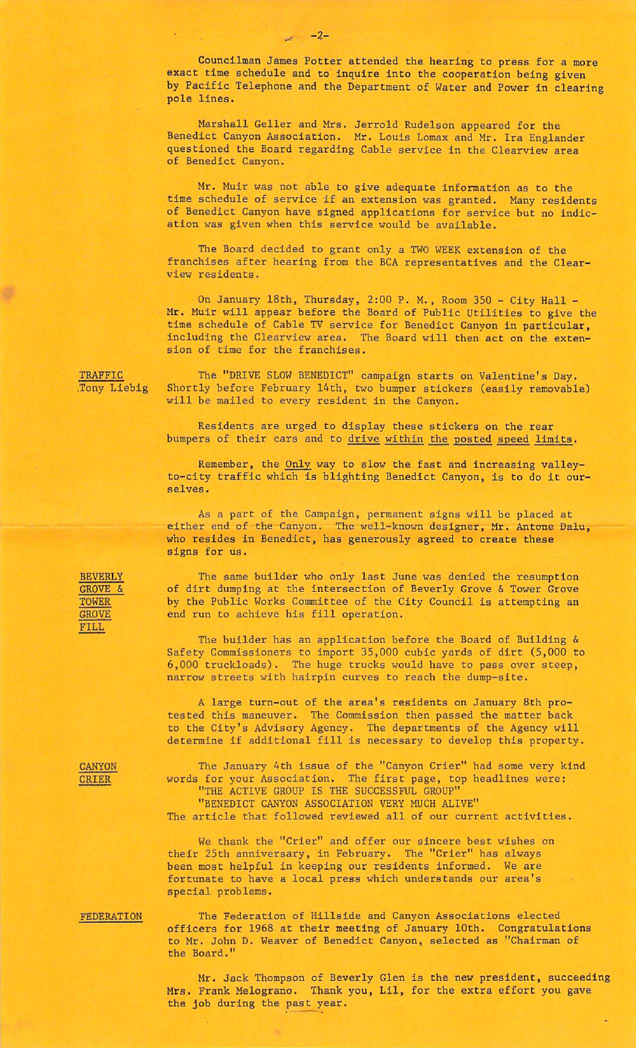Councilman James Potter attended the hearing to press for a more exact time schedule and to inquire into the cooperation being given by Pacific Telephone and the Department of Water and Power in clearing pole lines.

Marshall Geller and Mrs. Jerrold Rudelson appeared for the Benedict Canyon Association. Mr. Louis Lomax and Mr. Ira Englander questioned the Board regarding Cable service in the Clearview area of Benedict Canyon.

Mr. Muir was not able to give adequate information as to the time schedule of service if an extension was granted. Many residents of Benedict Canyon have signed applications for service but no indic ation was given when this service would be available.

The Board decided to grant only a TWO WEEK extension of the franchises after hearing from the BCA representatives and the Clearview residents.

On January 18th, Thursday, 2:00 P. M., Room 350 - City Hall - Mr. Muir will appear before the Board of Public Utilities to give the time schedule of Cable TV service for Benedict Canyon in particular, including the Clearview area. The Board will then act on the exten sion of time for the franchises.

TRAFFIC .Tony Liebig

The "DRIVE SLOW BENEDICT" campaign starts on Valentine's Day. Shortly before February 14th, two bumper stickers (easily removable) will be mailed to every resident in the Canyon.

Residents are urged to display these stickers on the rear bumpers of their cars and to drive within the posted speed limits.

Remember, the Only way to slow the fast and increasing valleyto-city traffic which is blighting Benedict Canyon, is to do it our selves.

As a part of the Campaign, permanent signs will be placed at either end of the Canyon. The well-known designer, Mr. Antone Dalu, who resides in Benedict, has generously agreed to create these signs for us.

The same builder who only last June was denied the resumption of dirt dumping at the intersection of Beverly Grove & Tower Grove by the Public Works Committee of the City Council is attempting an end run to achieve his fill operation.

The builder has an application before the Board of Building & Safety Commissioners to import 35,000 cubic yards of dirt (5,000 to 6,000 truckloads). The huge trucks would have to pass over steep, narrow streets with hairpin curves to reach the dump-site.

A large turn-out of the area's residents on January 8th pro tested this maneuver. The Commission then passed the matter back to the City's Advisory Agency. The departments of the Agency will determine if additional fill is necessary to develop this property.

CANYON CRIER

The January 4th issue of the "Canyon Crier" had some very kind words for your Association. The first page, top headlines were: THE ACTIVE GROUP IS THE SUCCESSFUL GROUP"

"BENEDICT CANYON ASSOCIATION VERY MUCH ALIVE"

The article that followed reviewed all of our current activities.

We thank the "Crier" and offer our sincere best wishes on their 25th anniversary, in February. The "Crier" has always been most helpful in keeping our residents informed. We are fortunate to have a local press which understands our area's special problems.

FEDERATION

The Federation of Hillside and Canyon Associations elected officers for 1968 at their meeting of January 10th. Congratulations to Mr. John D. Weaver of Benedict Canyon, selected as "Chairman of the Board."

Mr. Jack Thompson of Beverly Glen is the new president, succeeding Mrs. Frank Melograno. Thank you, Lil, for the extra effort you gave the job during the past year.

**BEVERLY** GROVE & TOWER GROVE FILL